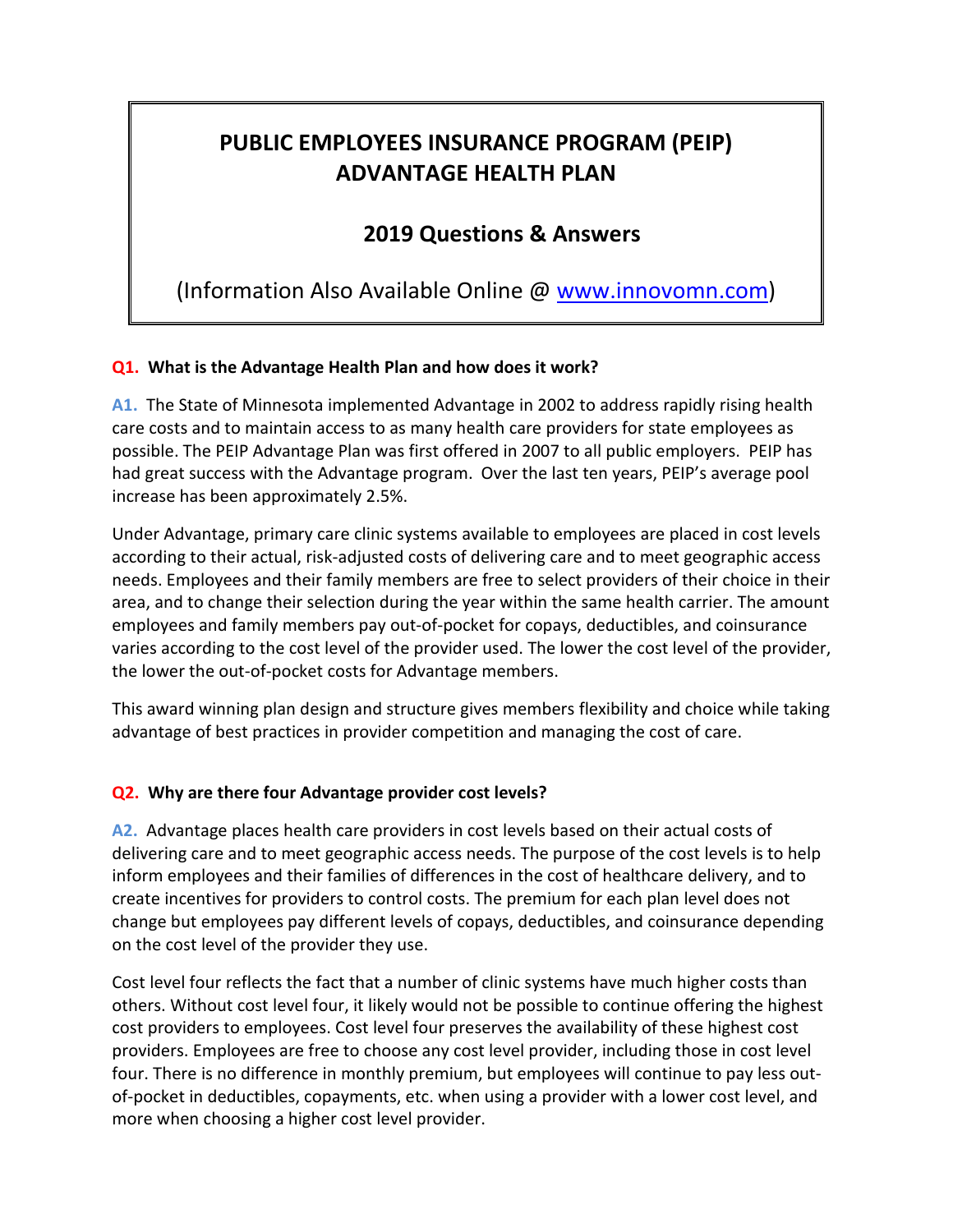# **PUBLIC EMPLOYEES INSURANCE PROGRAM (PEIP) ADVANTAGE HEALTH PLAN**

## **2019 Questions & Answers**

(Information Also Available Online @ www.innovomn.com)

## **Q1. What is the Advantage Health Plan and how does it work?**

**A1.** The State of Minnesota implemented Advantage in 2002 to address rapidly rising health care costs and to maintain access to as many health care providers for state employees as possible. The PEIP Advantage Plan was first offered in 2007 to all public employers. PEIP has had great success with the Advantage program. Over the last ten years, PEIP's average pool increase has been approximately 2.5%.

Under Advantage, primary care clinic systems available to employees are placed in cost levels according to their actual, risk-adjusted costs of delivering care and to meet geographic access needs. Employees and their family members are free to select providers of their choice in their area, and to change their selection during the year within the same health carrier. The amount employees and family members pay out-of-pocket for copays, deductibles, and coinsurance varies according to the cost level of the provider used. The lower the cost level of the provider, the lower the out-of-pocket costs for Advantage members.

This award winning plan design and structure gives members flexibility and choice while taking advantage of best practices in provider competition and managing the cost of care.

## **Q2. Why are there four Advantage provider cost levels?**

**A2.** Advantage places health care providers in cost levels based on their actual costs of delivering care and to meet geographic access needs. The purpose of the cost levels is to help inform employees and their families of differences in the cost of healthcare delivery, and to create incentives for providers to control costs. The premium for each plan level does not change but employees pay different levels of copays, deductibles, and coinsurance depending on the cost level of the provider they use.

Cost level four reflects the fact that a number of clinic systems have much higher costs than others. Without cost level four, it likely would not be possible to continue offering the highest cost providers to employees. Cost level four preserves the availability of these highest cost providers. Employees are free to choose any cost level provider, including those in cost level four. There is no difference in monthly premium, but employees will continue to pay less outof-pocket in deductibles, copayments, etc. when using a provider with a lower cost level, and more when choosing a higher cost level provider.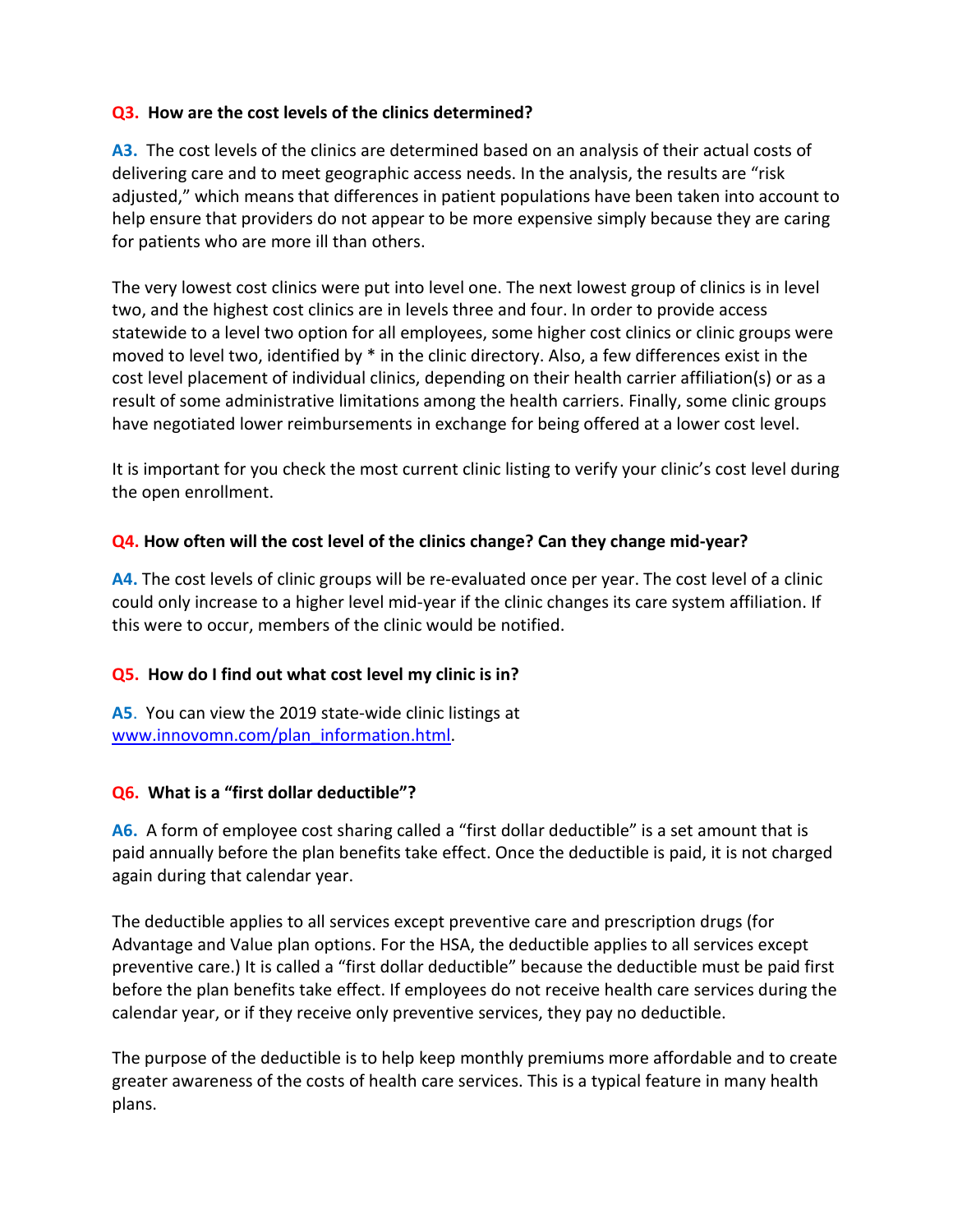#### **Q3. How are the cost levels of the clinics determined?**

**A3.** The cost levels of the clinics are determined based on an analysis of their actual costs of delivering care and to meet geographic access needs. In the analysis, the results are "risk adjusted," which means that differences in patient populations have been taken into account to help ensure that providers do not appear to be more expensive simply because they are caring for patients who are more ill than others.

The very lowest cost clinics were put into level one. The next lowest group of clinics is in level two, and the highest cost clinics are in levels three and four. In order to provide access statewide to a level two option for all employees, some higher cost clinics or clinic groups were moved to level two, identified by \* in the clinic directory. Also, a few differences exist in the cost level placement of individual clinics, depending on their health carrier affiliation(s) or as a result of some administrative limitations among the health carriers. Finally, some clinic groups have negotiated lower reimbursements in exchange for being offered at a lower cost level.

It is important for you check the most current clinic listing to verify your clinic's cost level during the open enrollment.

## **Q4. How often will the cost level of the clinics change? Can they change mid-year?**

**A4.** The cost levels of clinic groups will be re-evaluated once per year. The cost level of a clinic could only increase to a higher level mid-year if the clinic changes its care system affiliation. If this were to occur, members of the clinic would be notified.

## **Q5. How do I find out what cost level my clinic is in?**

**A5**. You can view the 2019 state-wide clinic listings at www.innovomn.com/plan\_information.html.

## **Q6. What is a "first dollar deductible"?**

**A6.** A form of employee cost sharing called a "first dollar deductible" is a set amount that is paid annually before the plan benefits take effect. Once the deductible is paid, it is not charged again during that calendar year.

The deductible applies to all services except preventive care and prescription drugs (for Advantage and Value plan options. For the HSA, the deductible applies to all services except preventive care.) It is called a "first dollar deductible" because the deductible must be paid first before the plan benefits take effect. If employees do not receive health care services during the calendar year, or if they receive only preventive services, they pay no deductible.

The purpose of the deductible is to help keep monthly premiums more affordable and to create greater awareness of the costs of health care services. This is a typical feature in many health plans.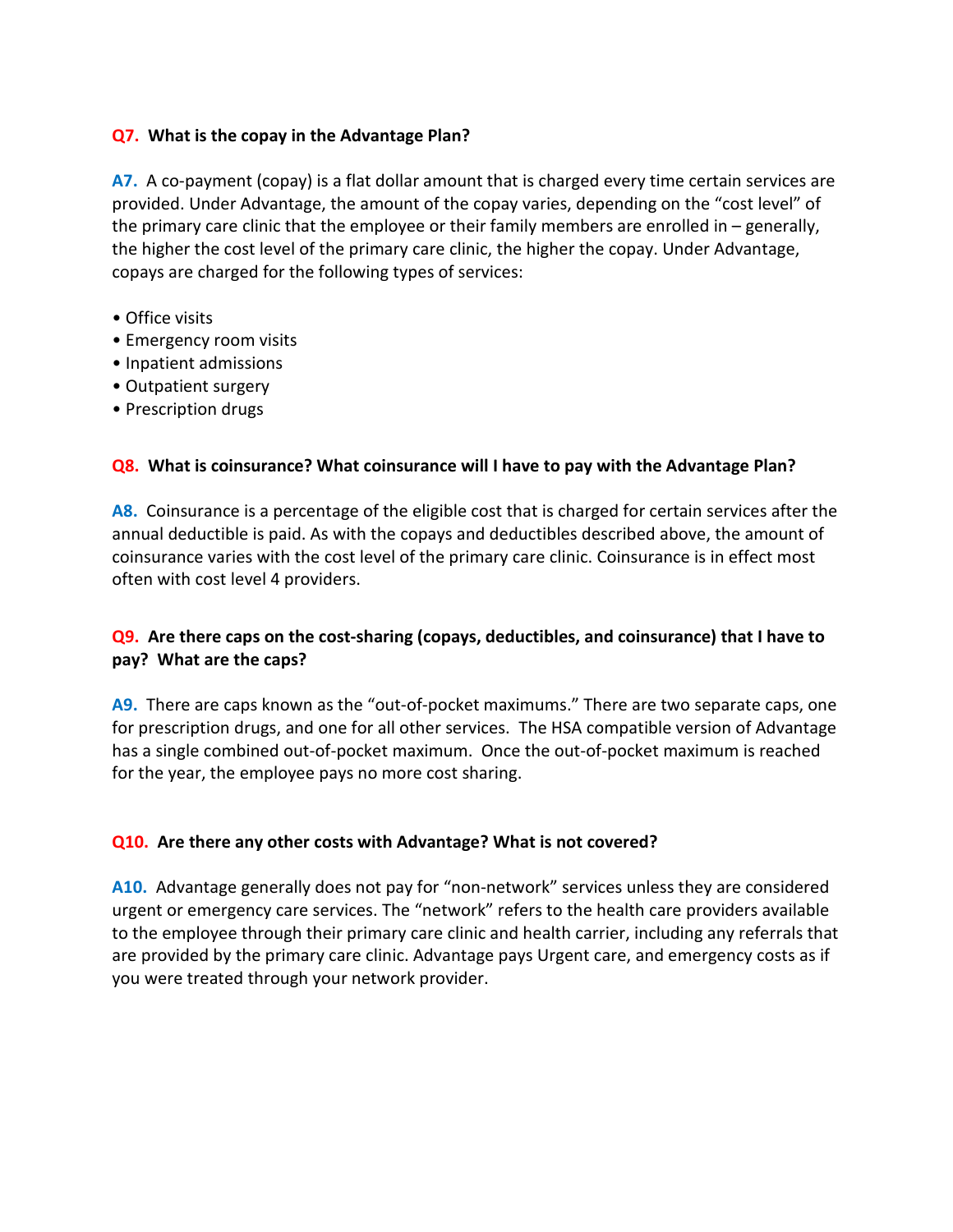#### **Q7. What is the copay in the Advantage Plan?**

**A7.** A co-payment (copay) is a flat dollar amount that is charged every time certain services are provided. Under Advantage, the amount of the copay varies, depending on the "cost level" of the primary care clinic that the employee or their family members are enrolled in – generally, the higher the cost level of the primary care clinic, the higher the copay. Under Advantage, copays are charged for the following types of services:

- Office visits
- Emergency room visits
- Inpatient admissions
- Outpatient surgery
- Prescription drugs

#### **Q8. What is coinsurance? What coinsurance will I have to pay with the Advantage Plan?**

**A8.** Coinsurance is a percentage of the eligible cost that is charged for certain services after the annual deductible is paid. As with the copays and deductibles described above, the amount of coinsurance varies with the cost level of the primary care clinic. Coinsurance is in effect most often with cost level 4 providers.

## **Q9. Are there caps on the cost-sharing (copays, deductibles, and coinsurance) that I have to pay? What are the caps?**

**A9.** There are caps known as the "out-of-pocket maximums." There are two separate caps, one for prescription drugs, and one for all other services. The HSA compatible version of Advantage has a single combined out-of-pocket maximum. Once the out-of-pocket maximum is reached for the year, the employee pays no more cost sharing.

## **Q10. Are there any other costs with Advantage? What is not covered?**

**A10.** Advantage generally does not pay for "non-network" services unless they are considered urgent or emergency care services. The "network" refers to the health care providers available to the employee through their primary care clinic and health carrier, including any referrals that are provided by the primary care clinic. Advantage pays Urgent care, and emergency costs as if you were treated through your network provider.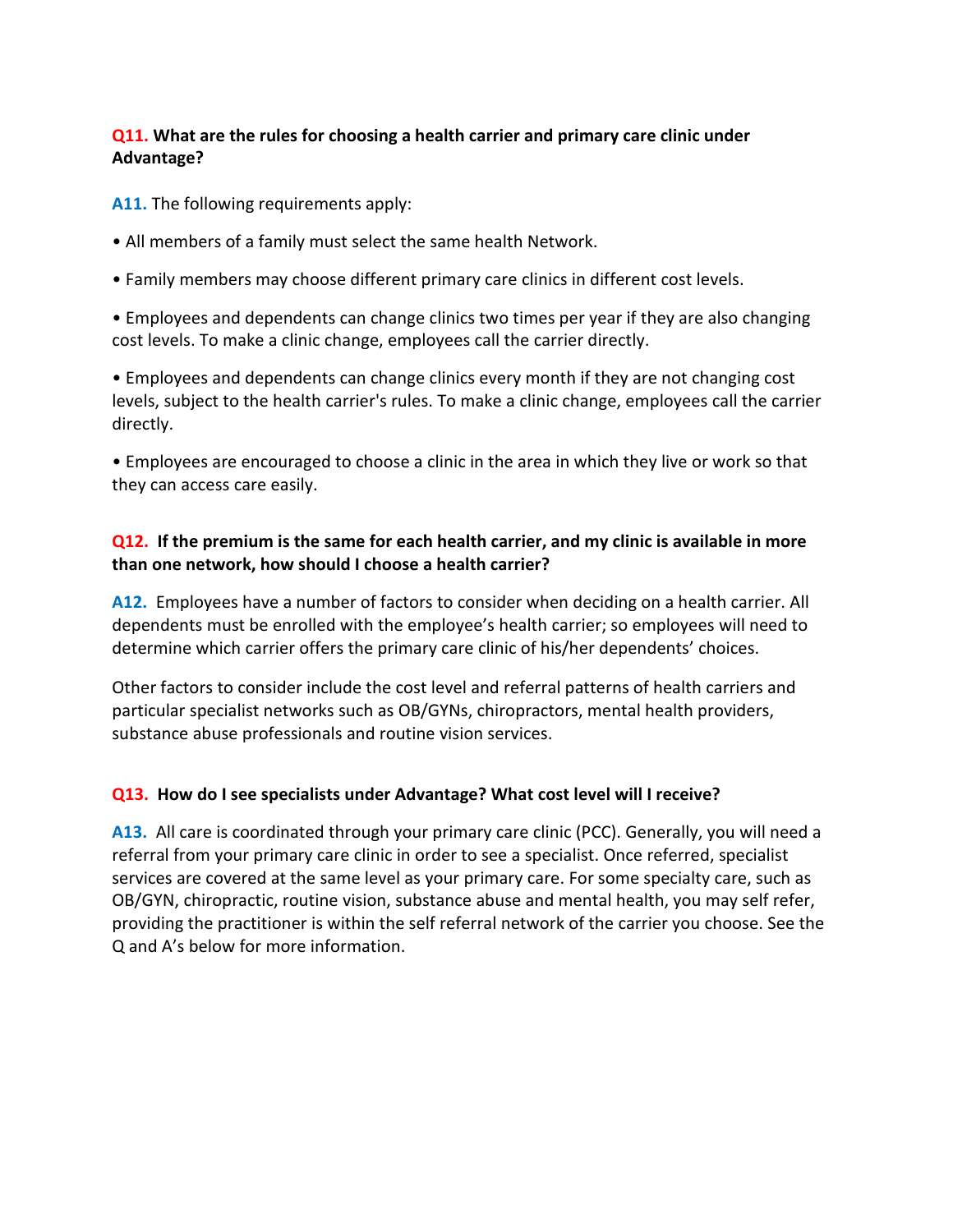## **Q11. What are the rules for choosing a health carrier and primary care clinic under Advantage?**

**A11.** The following requirements apply:

- All members of a family must select the same health Network.
- Family members may choose different primary care clinics in different cost levels.

• Employees and dependents can change clinics two times per year if they are also changing cost levels. To make a clinic change, employees call the carrier directly.

• Employees and dependents can change clinics every month if they are not changing cost levels, subject to the health carrier's rules. To make a clinic change, employees call the carrier directly.

• Employees are encouraged to choose a clinic in the area in which they live or work so that they can access care easily.

## **Q12. If the premium is the same for each health carrier, and my clinic is available in more than one network, how should I choose a health carrier?**

**A12.** Employees have a number of factors to consider when deciding on a health carrier. All dependents must be enrolled with the employee's health carrier; so employees will need to determine which carrier offers the primary care clinic of his/her dependents' choices.

Other factors to consider include the cost level and referral patterns of health carriers and particular specialist networks such as OB/GYNs, chiropractors, mental health providers, substance abuse professionals and routine vision services.

## **Q13. How do I see specialists under Advantage? What cost level will I receive?**

**A13.** All care is coordinated through your primary care clinic (PCC). Generally, you will need a referral from your primary care clinic in order to see a specialist. Once referred, specialist services are covered at the same level as your primary care. For some specialty care, such as OB/GYN, chiropractic, routine vision, substance abuse and mental health, you may self refer, providing the practitioner is within the self referral network of the carrier you choose. See the Q and A's below for more information.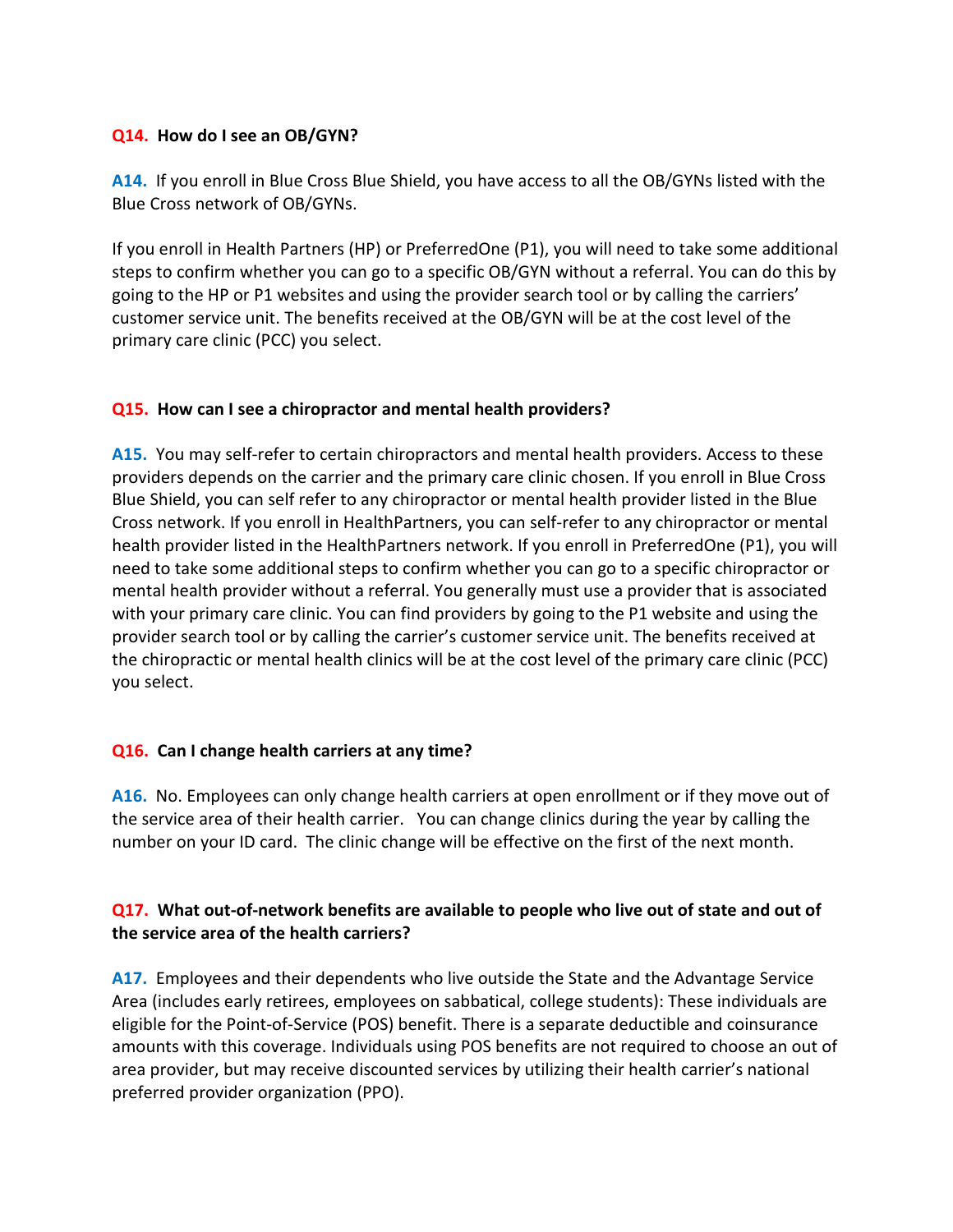### **Q14. How do I see an OB/GYN?**

**A14.** If you enroll in Blue Cross Blue Shield, you have access to all the OB/GYNs listed with the Blue Cross network of OB/GYNs.

If you enroll in Health Partners (HP) or PreferredOne (P1), you will need to take some additional steps to confirm whether you can go to a specific OB/GYN without a referral. You can do this by going to the HP or P1 websites and using the provider search tool or by calling the carriers' customer service unit. The benefits received at the OB/GYN will be at the cost level of the primary care clinic (PCC) you select.

#### **Q15. How can I see a chiropractor and mental health providers?**

**A15.** You may self-refer to certain chiropractors and mental health providers. Access to these providers depends on the carrier and the primary care clinic chosen. If you enroll in Blue Cross Blue Shield, you can self refer to any chiropractor or mental health provider listed in the Blue Cross network. If you enroll in HealthPartners, you can self-refer to any chiropractor or mental health provider listed in the HealthPartners network. If you enroll in PreferredOne (P1), you will need to take some additional steps to confirm whether you can go to a specific chiropractor or mental health provider without a referral. You generally must use a provider that is associated with your primary care clinic. You can find providers by going to the P1 website and using the provider search tool or by calling the carrier's customer service unit. The benefits received at the chiropractic or mental health clinics will be at the cost level of the primary care clinic (PCC) you select.

## **Q16. Can I change health carriers at any time?**

**A16.** No. Employees can only change health carriers at open enrollment or if they move out of the service area of their health carrier. You can change clinics during the year by calling the number on your ID card. The clinic change will be effective on the first of the next month.

## **Q17. What out-of-network benefits are available to people who live out of state and out of the service area of the health carriers?**

**A17.** Employees and their dependents who live outside the State and the Advantage Service Area (includes early retirees, employees on sabbatical, college students): These individuals are eligible for the Point-of-Service (POS) benefit. There is a separate deductible and coinsurance amounts with this coverage. Individuals using POS benefits are not required to choose an out of area provider, but may receive discounted services by utilizing their health carrier's national preferred provider organization (PPO).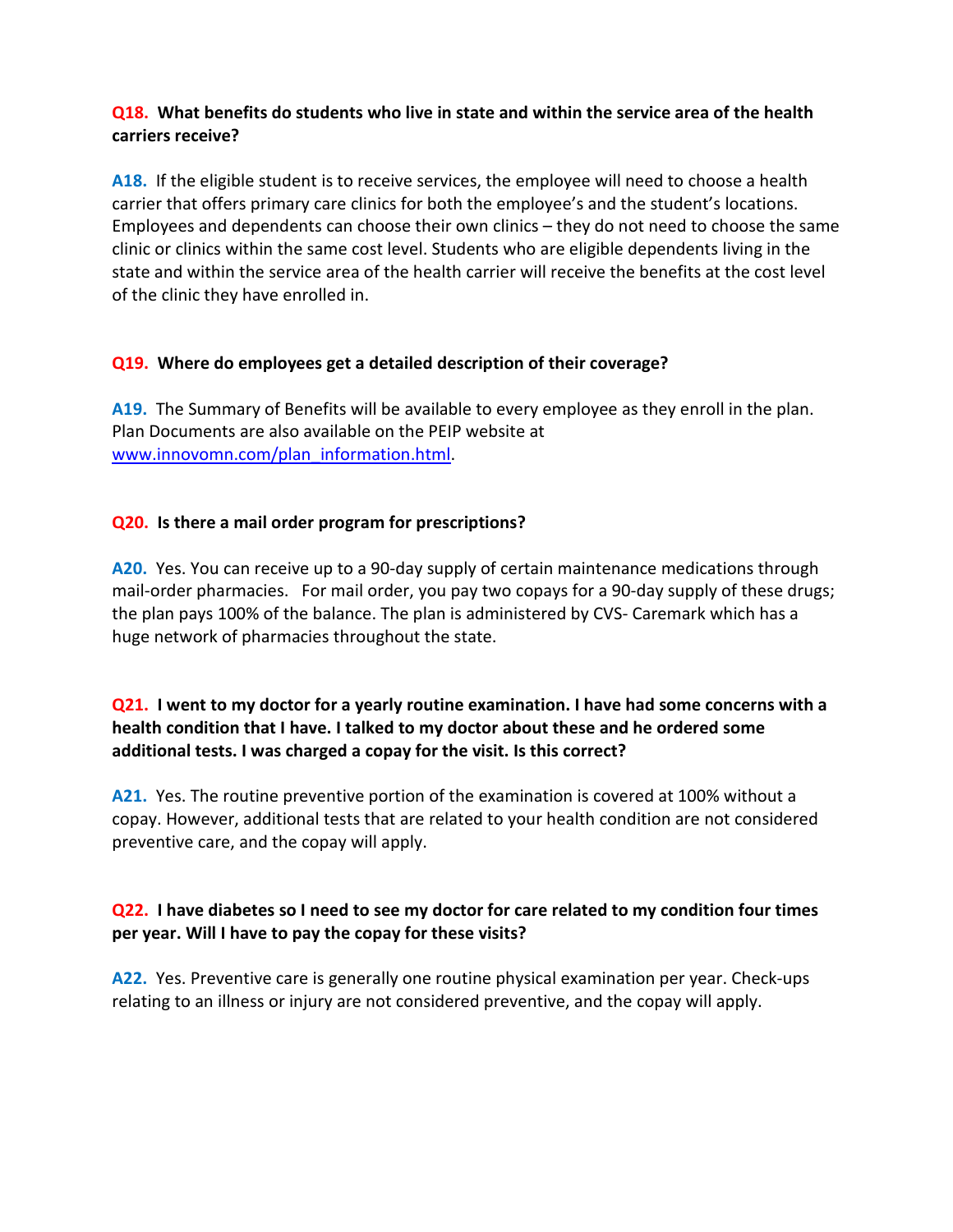### **Q18. What benefits do students who live in state and within the service area of the health carriers receive?**

**A18.** If the eligible student is to receive services, the employee will need to choose a health carrier that offers primary care clinics for both the employee's and the student's locations. Employees and dependents can choose their own clinics – they do not need to choose the same clinic or clinics within the same cost level. Students who are eligible dependents living in the state and within the service area of the health carrier will receive the benefits at the cost level of the clinic they have enrolled in.

## **Q19. Where do employees get a detailed description of their coverage?**

**A19.** The Summary of Benefits will be available to every employee as they enroll in the plan. Plan Documents are also available on the PEIP website at www.innovomn.com/plan\_information.html.

## **Q20. Is there a mail order program for prescriptions?**

**A20.** Yes. You can receive up to a 90-day supply of certain maintenance medications through mail-order pharmacies. For mail order, you pay two copays for a 90-day supply of these drugs; the plan pays 100% of the balance. The plan is administered by CVS- Caremark which has a huge network of pharmacies throughout the state.

## **Q21. I went to my doctor for a yearly routine examination. I have had some concerns with a health condition that I have. I talked to my doctor about these and he ordered some additional tests. I was charged a copay for the visit. Is this correct?**

**A21.** Yes. The routine preventive portion of the examination is covered at 100% without a copay. However, additional tests that are related to your health condition are not considered preventive care, and the copay will apply.

## **Q22. I have diabetes so I need to see my doctor for care related to my condition four times per year. Will I have to pay the copay for these visits?**

**A22.** Yes. Preventive care is generally one routine physical examination per year. Check-ups relating to an illness or injury are not considered preventive, and the copay will apply.